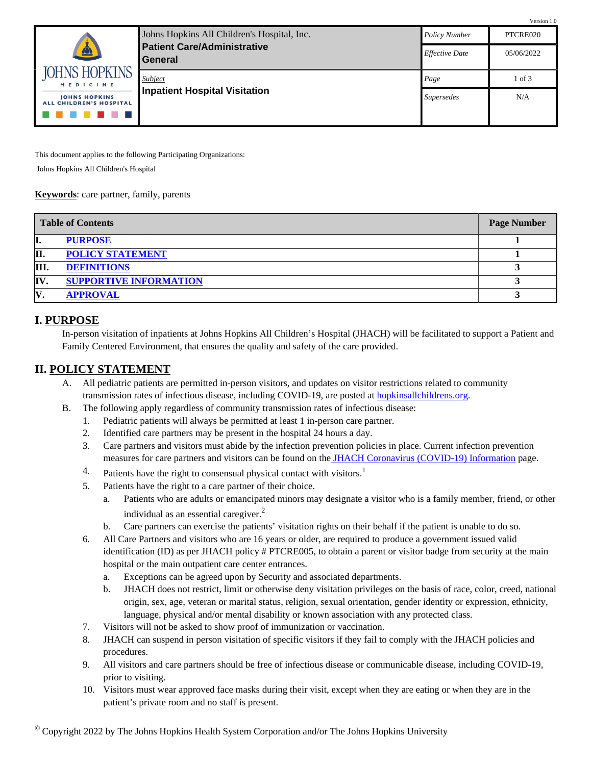|                                                        |                                                      |                       | Version 1.0 |
|--------------------------------------------------------|------------------------------------------------------|-----------------------|-------------|
|                                                        | Johns Hopkins All Children's Hospital, Inc.          | <b>Policy Number</b>  | PTCRE020    |
| A                                                      | <b>Patient Care/Administrative</b><br><b>General</b> | <b>Effective Date</b> | 05/06/2022  |
| <b>JOHNS HOPKINS</b><br><b>MEDICINE</b>                | Subject                                              | Page                  | $1$ of $3$  |
| <b>IOHNS HOPKINS</b><br><b>ALL CHILDREN'S HOSPITAL</b> | <b>Inpatient Hospital Visitation</b>                 | <i>Supersedes</i>     | N/A         |
|                                                        |                                                      |                       |             |

This document applies to the following Participating Organizations:

Johns Hopkins All Children's Hospital

#### **Keywords**: care partner, family, parents

|     | <b>Table of Contents</b>      | <b>Page Number</b> |
|-----|-------------------------------|--------------------|
| п.  | <b>PURPOSE</b>                |                    |
| П.  | <b>POLICY STATEMENT</b>       |                    |
| Ш   | <b>DEFINITIONS</b>            |                    |
| IV. | <b>SUPPORTIVE INFORMATION</b> |                    |
| IV  | <b>APPROVAL</b>               |                    |

### <span id="page-0-0"></span>**I. PURPOSE**

In-person visitation of inpatients at Johns Hopkins All Children's Hospital (JHACH) will be facilitated to support a Patient and Family Centered Environment, that ensures the quality and safety of the care provided.

### <span id="page-0-1"></span>**II. POLICY STATEMENT**

- A. All pediatric patients are permitted in-person visitors, and updates on visitor restrictions related to community transmission rates of infectious disease, including COVID-19, are posted at [hopkinsallchildrens.org](https://www.hopkinsallchildrens.org/).
- B. The following apply regardless of community transmission rates of infectious disease:
	- 1. Pediatric patients will always be permitted at least 1 in-person care partner.
	- 2. Identified care partners may be present in the hospital 24 hours a day.
	- 3. Care partners and visitors must abide by the infection prevention policies in place. Current infection prevention measures for care partners and visitors can be found on th[e JHACH Coronavirus \(COVID-19\) Information](https://www.hopkinsallchildrens.org/Patients-Families/Coronavirus-(COVID-19)) page.
	- 4. Patients have the right to consensual physical contact with visitors.<sup>1</sup>
	- 5. Patients have the right to a care partner of their choice.
		- a. Patients who are adults or emancipated minors may designate a visitor who is a family member, friend, or other individual as an essential caregiver.<sup>2</sup>
		- b. Care partners can exercise the patients' visitation rights on their behalf if the patient is unable to do so.
	- 6. All Care Partners and visitors who are 16 years or older, are required to produce a government issued valid identification (ID) as per JHACH policy # PTCRE005, to obtain a parent or visitor badge from security at the main hospital or the main outpatient care center entrances.
		- a. Exceptions can be agreed upon by Security and associated departments.
		- b. JHACH does not restrict, limit or otherwise deny visitation privileges on the basis of race, color, creed, national origin, sex, age, veteran or marital status, religion, sexual orientation, gender identity or expression, ethnicity, language, physical and/or mental disability or known association with any protected class.
	- 7. Visitors will not be asked to show proof of immunization or vaccination.
	- 8. JHACH can suspend in person visitation of specific visitors if they fail to comply with the JHACH policies and procedures.
	- 9. All visitors and care partners should be free of infectious disease or communicable disease, including COVID-19, prior to visiting.
	- 10. Visitors must wear approved face masks during their visit, except when they are eating or when they are in the patient's private room and no staff is present.

 $^{\circ}$  Copyright 2022 by The Johns Hopkins Health System Corporation and/or The Johns Hopkins University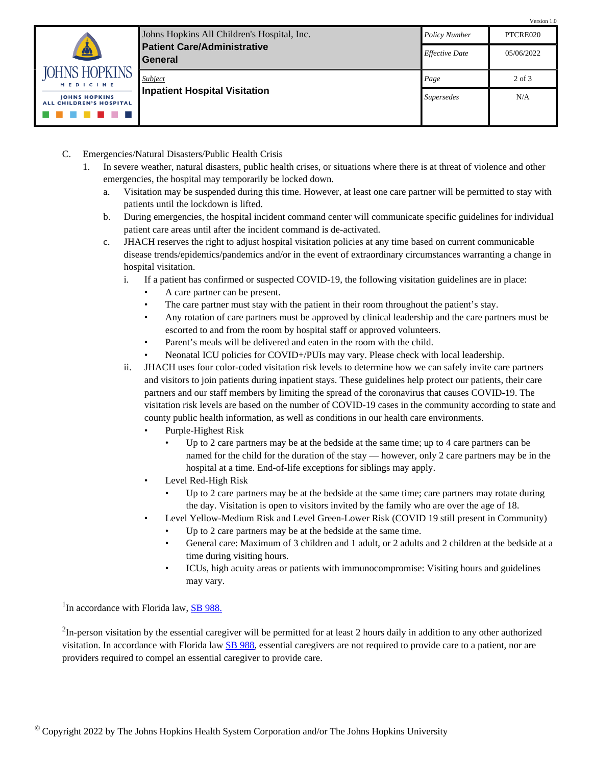|                                                        |                                                      |                       | Version 1.0 |
|--------------------------------------------------------|------------------------------------------------------|-----------------------|-------------|
|                                                        | Johns Hopkins All Children's Hospital, Inc.          | <b>Policy Number</b>  | PTCRE020    |
| $\mathbf{A}$                                           | <b>Patient Care/Administrative</b><br><b>General</b> | <b>Effective Date</b> | 05/06/2022  |
| <b>JOHNS HOPKINS</b><br><b>MEDICINE</b>                | Subject                                              | Page                  | 2 of 3      |
| <b>IOHNS HOPKINS</b><br><b>ALL CHILDREN'S HOSPITAL</b> | <b>Inpatient Hospital Visitation</b>                 | <i>Supersedes</i>     | N/A         |
|                                                        |                                                      |                       |             |

- C. Emergencies/Natural Disasters/Public Health Crisis
	- 1. In severe weather, natural disasters, public health crises, or situations where there is at threat of violence and other emergencies, the hospital may temporarily be locked down.
		- a. Visitation may be suspended during this time. However, at least one care partner will be permitted to stay with patients until the lockdown is lifted.
		- b. During emergencies, the hospital incident command center will communicate specific guidelines for individual patient care areas until after the incident command is de-activated.
		- c. JHACH reserves the right to adjust hospital visitation policies at any time based on current communicable disease trends/epidemics/pandemics and/or in the event of extraordinary circumstances warranting a change in hospital visitation.
			- i. If a patient has confirmed or suspected COVID-19, the following visitation guidelines are in place:
				- A care partner can be present.
				- The care partner must stay with the patient in their room throughout the patient's stay.
				- Any rotation of care partners must be approved by clinical leadership and the care partners must be escorted to and from the room by hospital staff or approved volunteers.
				- Parent's meals will be delivered and eaten in the room with the child.
				- Neonatal ICU policies for COVID+/PUIs may vary. Please check with local leadership.
			- ii. JHACH uses four color-coded visitation risk levels to determine how we can safely invite care partners and visitors to join patients during inpatient stays. These guidelines help protect our patients, their care partners and our staff members by limiting the spread of the coronavirus that causes COVID-19. The visitation risk levels are based on the number of COVID-19 cases in the community according to state and county public health information, as well as conditions in our health care environments.
				- Purple-Highest Risk
					- Up to 2 care partners may be at the bedside at the same time; up to 4 care partners can be named for the child for the duration of the stay — however, only 2 care partners may be in the hospital at a time. End-of-life exceptions for siblings may apply.
				- Level Red-High Risk
					- Up to 2 care partners may be at the bedside at the same time; care partners may rotate during the day. Visitation is open to visitors invited by the family who are over the age of 18.
				- Level Yellow-Medium Risk and Level Green-Lower Risk (COVID 19 still present in Community)
					- Up to 2 care partners may be at the bedside at the same time.
					- General care: Maximum of 3 children and 1 adult, or 2 adults and 2 children at the bedside at a time during visiting hours.
					- ICUs, high acuity areas or patients with immunocompromise: Visiting hours and guidelines may vary.

<sup>1</sup>In accordance with Florida law, **SB 988**.

 $2$ In-person visitation by the essential caregiver will be permitted for at least 2 hours daily in addition to any other authorized visitation. In accordance with Florida law [SB 988](https://www.flsenate.gov/Session/Bill/2022/988), essential caregivers are not required to provide care to a patient, nor are providers required to compel an essential caregiver to provide care.